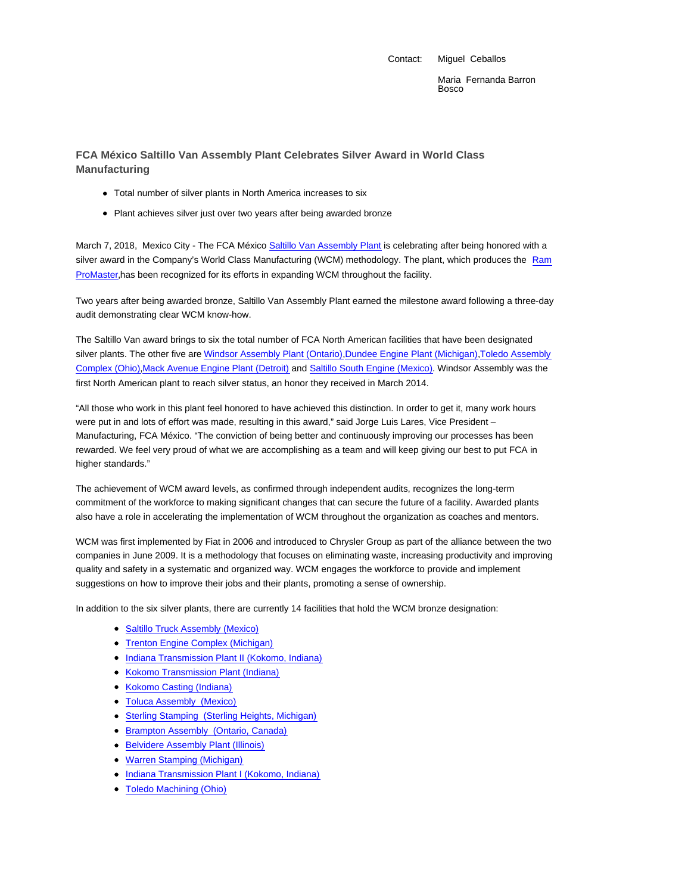Contact: Miguel Ceballos

Maria Fernanda Barron Bosco

## **FCA México Saltillo Van Assembly Plant Celebrates Silver Award in World Class Manufacturing**

- Total number of silver plants in North America increases to six
- Plant achieves silver just over two years after being awarded bronze

March 7, 2018, Mexico City - The FCA México Saltillo Van Assembly Plant is celebrating after being honored with a silver award in the Company's World Class Manufacturing (WCM) methodology. The plant, which produces the Ram ProMaster,has been recognized for its efforts in expanding WCM throughout the facility.

Two years after being awarded bronze, Saltillo Van Assembly Plant earned the milestone award following a three-day audit demonstrating clear WCM know-how.

The Saltillo Van award brings to six the total number of FCA North American facilities that have been designated silver plants. The other five are Windsor Assembly Plant (Ontario),Dundee Engine Plant (Michigan),Toledo Assembly Complex (Ohio),Mack Avenue Engine Plant (Detroit) and Saltillo South Engine (Mexico). Windsor Assembly was the first North American plant to reach silver status, an honor they received in March 2014.

"All those who work in this plant feel honored to have achieved this distinction. In order to get it, many work hours were put in and lots of effort was made, resulting in this award," said Jorge Luis Lares, Vice President – Manufacturing, FCA México. "The conviction of being better and continuously improving our processes has been rewarded. We feel very proud of what we are accomplishing as a team and will keep giving our best to put FCA in higher standards."

The achievement of WCM award levels, as confirmed through independent audits, recognizes the long-term commitment of the workforce to making significant changes that can secure the future of a facility. Awarded plants also have a role in accelerating the implementation of WCM throughout the organization as coaches and mentors.

WCM was first implemented by Fiat in 2006 and introduced to Chrysler Group as part of the alliance between the two companies in June 2009. It is a methodology that focuses on eliminating waste, increasing productivity and improving quality and safety in a systematic and organized way. WCM engages the workforce to provide and implement suggestions on how to improve their jobs and their plants, promoting a sense of ownership.

In addition to the six silver plants, there are currently 14 facilities that hold the WCM bronze designation:

- Saltillo Truck Assembly (Mexico)
- Trenton Engine Complex (Michigan)
- **Indiana Transmission Plant II (Kokomo, Indiana)**
- Kokomo Transmission Plant (Indiana)
- Kokomo Casting (Indiana)
- Toluca Assembly (Mexico)
- Sterling Stamping (Sterling Heights, Michigan)
- Brampton Assembly (Ontario, Canada)
- Belvidere Assembly Plant (Illinois)
- Warren Stamping (Michigan)
- Indiana Transmission Plant I (Kokomo, Indiana)
- Toledo Machining (Ohio)